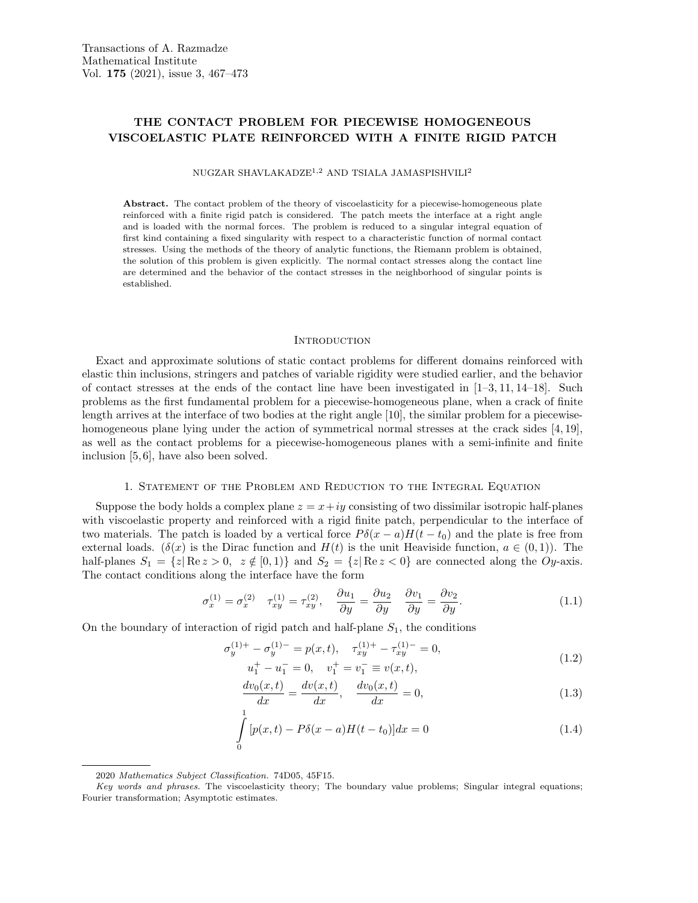# THE CONTACT PROBLEM FOR PIECEWISE HOMOGENEOUS VISCOELASTIC PLATE REINFORCED WITH A FINITE RIGID PATCH

NUGZAR SHAVLAKADZE1,<sup>2</sup> AND TSIALA JAMASPISHVILI<sup>2</sup>

Abstract. The contact problem of the theory of viscoelasticity for a piecewise-homogeneous plate reinforced with a finite rigid patch is considered. The patch meets the interface at a right angle and is loaded with the normal forces. The problem is reduced to a singular integral equation of first kind containing a fixed singularity with respect to a characteristic function of normal contact stresses. Using the methods of the theory of analytic functions, the Riemann problem is obtained, the solution of this problem is given explicitly. The normal contact stresses along the contact line are determined and the behavior of the contact stresses in the neighborhood of singular points is established.

### **INTRODUCTION**

Exact and approximate solutions of static contact problems for different domains reinforced with elastic thin inclusions, stringers and patches of variable rigidity were studied earlier, and the behavior of contact stresses at the ends of the contact line have been investigated in  $[1-3, 11, 14-18]$ . Such problems as the first fundamental problem for a piecewise-homogeneous plane, when a crack of finite length arrives at the interface of two bodies at the right angle [10], the similar problem for a piecewisehomogeneous plane lying under the action of symmetrical normal stresses at the crack sides [4, 19], as well as the contact problems for a piecewise-homogeneous planes with a semi-infinite and finite inclusion [5, 6], have also been solved.

## 1. Statement of the Problem and Reduction to the Integral Equation

Suppose the body holds a complex plane  $z = x + iy$  consisting of two dissimilar isotropic half-planes with viscoelastic property and reinforced with a rigid finite patch, perpendicular to the interface of two materials. The patch is loaded by a vertical force  $P\delta(x-a)H(t-t_0)$  and the plate is free from external loads. ( $\delta(x)$  is the Dirac function and  $H(t)$  is the unit Heaviside function,  $a \in (0,1)$ ). The half-planes  $S_1 = \{z | \text{Re } z > 0, z \notin [0, 1) \}$  and  $S_2 = \{z | \text{Re } z < 0 \}$  are connected along the Oy-axis. The contact conditions along the interface have the form

$$
\sigma_x^{(1)} = \sigma_x^{(2)} \quad \tau_{xy}^{(1)} = \tau_{xy}^{(2)}, \quad \frac{\partial u_1}{\partial y} = \frac{\partial u_2}{\partial y} \quad \frac{\partial v_1}{\partial y} = \frac{\partial v_2}{\partial y}.
$$
\n(1.1)

On the boundary of interaction of rigid patch and half-plane  $S_1$ , the conditions

$$
\sigma_y^{(1)+} - \sigma_y^{(1)-} = p(x, t), \quad \tau_{xy}^{(1)+} - \tau_{xy}^{(1)-} = 0,
$$
  

$$
u_1^+ - u_1^- = 0, \quad v_1^+ = v_1^- \equiv v(x, t),
$$
 (1.2)

$$
\frac{dv_0(x,t)}{dx} = \frac{dv(x,t)}{dx}, \quad \frac{dv_0(x,t)}{dx} = 0,
$$
\n(1.3)

$$
\int_{0}^{1} [p(x,t) - P\delta(x-a)H(t-t_0)]dx = 0
$$
\n(1.4)

<sup>2020</sup> Mathematics Subject Classification. 74D05, 45F15.

Key words and phrases. The viscoelasticity theory; The boundary value problems; Singular integral equations; Fourier transformation; Asymptotic estimates.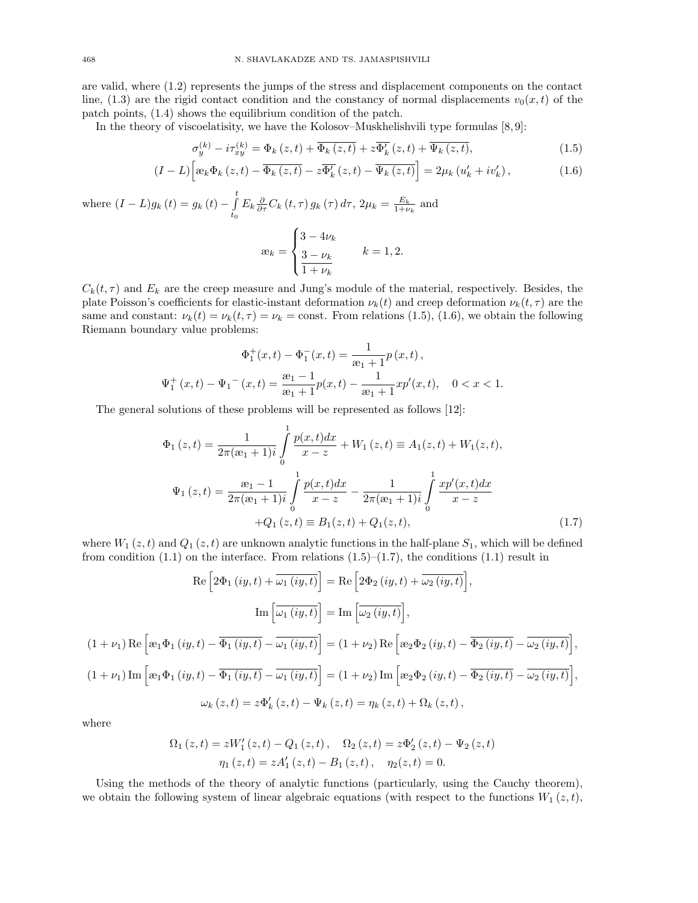are valid, where (1.2) represents the jumps of the stress and displacement components on the contact line, (1.3) are the rigid contact condition and the constancy of normal displacements  $v_0(x, t)$  of the patch points, (1.4) shows the equilibrium condition of the patch.

In the theory of viscoelatisity, we have the Kolosov–Muskhelishvili type formulas  $[8, 9]$ :

$$
\sigma_y^{(k)} - i\tau_{xy}^{(k)} = \Phi_k(z,t) + \overline{\Phi_k(z,t)} + z\overline{\Phi_k'(z,t)} + \overline{\Psi_k(z,t)},
$$
\n(1.5)

$$
(I-L)\left[x_k\Phi_k\left(z,t\right)-\overline{\Phi_k\left(z,t\right)}-z\overline{\Phi_k'}\left(z,t\right)-\overline{\Psi_k\left(z,t\right)}\right]=2\mu_k\left(u_k'+iv_k'\right),\tag{1.6}
$$

where  $(I - L)g_k(t) = g_k(t) - \int_0^t$  $t_{0}$  $E_k \frac{\partial}{\partial \tau} C_k(t, \tau) g_k(\tau) d\tau$ ,  $2\mu_k = \frac{E_k}{1 + \nu_k}$  and

$$
\mathbf{a}_k = \begin{cases} 3 - 4\nu_k \\ \frac{3 - \nu_k}{1 + \nu_k} \end{cases} \quad k = 1, 2.
$$

 $C_k(t, \tau)$  and  $E_k$  are the creep measure and Jung's module of the material, respectively. Besides, the plate Poisson's coefficients for elastic-instant deformation  $\nu_k(t)$  and creep deformation  $\nu_k(t, \tau)$  are the same and constant:  $\nu_k(t) = \nu_k(t, \tau) = \nu_k = \text{const.}$  From relations (1.5), (1.6), we obtain the following Riemann boundary value problems:

$$
\Phi_1^+(x,t) - \Phi_1^-(x,t) = \frac{1}{x_1 + 1} p(x,t),
$$
  

$$
\Psi_1^+(x,t) - \Psi_1^-(x,t) = \frac{x_1 - 1}{x_1 + 1} p(x,t) - \frac{1}{x_1 + 1} x p'(x,t), \quad 0 < x < 1.
$$

The general solutions of these problems will be represented as follows [12]:

$$
\Phi_1(z,t) = \frac{1}{2\pi(\mathbf{x}_1+1)i} \int_0^1 \frac{p(x,t)dx}{x-z} + W_1(z,t) \equiv A_1(z,t) + W_1(z,t),
$$
\n
$$
\Psi_1(z,t) = \frac{\mathbf{x}_1-1}{2\pi(\mathbf{x}_1+1)i} \int_0^1 \frac{p(x,t)dx}{x-z} - \frac{1}{2\pi(\mathbf{x}_1+1)i} \int_0^1 \frac{xp'(x,t)dx}{x-z} + Q_1(z,t) \equiv B_1(z,t) + Q_1(z,t),
$$
\n(1.7)

where  $W_1(z, t)$  and  $Q_1(z, t)$  are unknown analytic functions in the half-plane  $S_1$ , which will be defined from condition  $(1.1)$  on the interface. From relations  $(1.5)$ – $(1.7)$ , the conditions  $(1.1)$  result in

$$
\operatorname{Re}\left[2\Phi_{1}\left(iy,t\right)+\overline{\omega_{1}\left(iy,t\right)}\right]=\operatorname{Re}\left[2\Phi_{2}\left(iy,t\right)+\overline{\omega_{2}\left(iy,t\right)}\right],
$$
\n
$$
\operatorname{Im}\left[\overline{\omega_{1}\left(iy,t\right)}\right]=\operatorname{Im}\left[\overline{\omega_{2}\left(iy,t\right)}\right],
$$
\n
$$
(1+\nu_{1})\operatorname{Re}\left[\exp_{1}\left(iy,t\right)-\overline{\Phi_{1}\left(iy,t\right)}-\overline{\omega_{1}\left(iy,t\right)}\right]=\left(1+\nu_{2}\right)\operatorname{Re}\left[\exp_{2}\Phi_{2}\left(iy,t\right)-\overline{\Phi_{2}\left(iy,t\right)}-\overline{\omega_{2}\left(iy,t\right)}\right],
$$
\n
$$
(1+\nu_{1})\operatorname{Im}\left[\exp_{1}\left(iy,t\right)-\overline{\Phi_{1}\left(iy,t\right)}-\overline{\omega_{1}\left(iy,t\right)}\right]=\left(1+\nu_{2}\right)\operatorname{Im}\left[\exp_{2}\Phi_{2}\left(iy,t\right)-\overline{\Phi_{2}\left(iy,t\right)}-\overline{\omega_{2}\left(iy,t\right)}\right],
$$
\n
$$
\omega_{k}\left(z,t\right)=z\Phi_{k}'\left(z,t\right)-\Psi_{k}\left(z,t\right)=\eta_{k}\left(z,t\right)+\Omega_{k}\left(z,t\right),
$$

where

$$
\begin{aligned} \Omega_{1}\left(z,t\right)&=zW_{1}^{\prime}\left(z,t\right)-Q_{1}\left(z,t\right),\quad\Omega_{2}\left(z,t\right)=z\Phi_{2}^{\prime}\left(z,t\right)-\Psi_{2}\left(z,t\right)\\ \eta_{1}\left(z,t\right)&=zA_{1}^{\prime}\left(z,t\right)-B_{1}\left(z,t\right),\quad\eta_{2}(z,t)=0. \end{aligned}
$$

Using the methods of the theory of analytic functions (particularly, using the Cauchy theorem), we obtain the following system of linear algebraic equations (with respect to the functions  $W_1(z,t)$ ,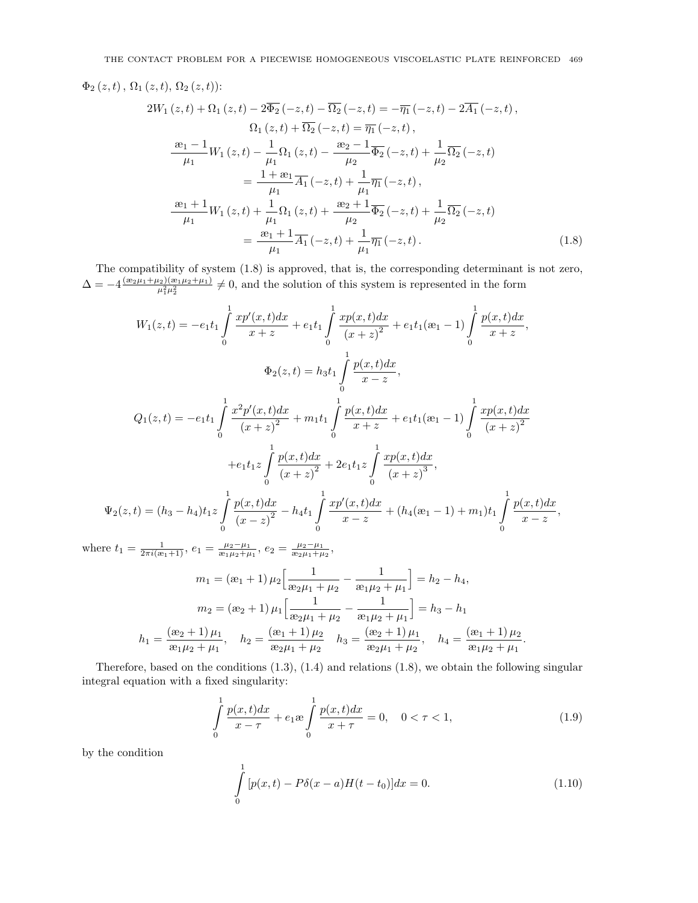$$
\Phi_{2}(z,t), \Omega_{1}(z,t), \Omega_{2}(z,t))
$$
\n
$$
2W_{1}(z,t) + \Omega_{1}(z,t) - 2\overline{\Phi_{2}}(-z,t) - \overline{\Omega_{2}}(-z,t) = -\overline{\eta_{1}}(-z,t) - 2\overline{A_{1}}(-z,t),
$$
\n
$$
\Omega_{1}(z,t) + \overline{\Omega_{2}}(-z,t) = \overline{\eta_{1}}(-z,t),
$$
\n
$$
\frac{x_{1} - 1}{\mu_{1}} W_{1}(z,t) - \frac{1}{\mu_{1}} \Omega_{1}(z,t) - \frac{x_{2} - 1}{\mu_{2}} \overline{\Phi_{2}}(-z,t) + \frac{1}{\mu_{2}} \overline{\Omega_{2}}(-z,t)
$$
\n
$$
= \frac{1 + x_{1}}{\mu_{1}} \overline{A_{1}}(-z,t) + \frac{1}{\mu_{1}} \overline{\eta_{1}}(-z,t),
$$
\n
$$
\frac{x_{1} + 1}{\mu_{1}} W_{1}(z,t) + \frac{1}{\mu_{1}} \Omega_{1}(z,t) + \frac{x_{2} + 1}{\mu_{2}} \overline{\Phi_{2}}(-z,t) + \frac{1}{\mu_{2}} \overline{\Omega_{2}}(-z,t)
$$
\n
$$
= \frac{x_{1} + 1}{\mu_{1}} \overline{A_{1}}(-z,t) + \frac{1}{\mu_{1}} \overline{\eta_{1}}(-z,t).
$$
\n(1.8)

The compatibility of system (1.8) is approved, that is, the corresponding determinant is not zero,  $\Delta = -4 \frac{(e_2\mu_1 + \mu_2)(e_1\mu_2 + \mu_1)}{\mu_1^2\mu_2^2} \neq 0$ , and the solution of this system is represented in the form

$$
W_{1}(z,t) = -e_{1}t_{1} \int_{0}^{1} \frac{xp'(x,t)dx}{x+z} + e_{1}t_{1} \int_{0}^{1} \frac{xp(x,t)dx}{(x+z)^{2}} + e_{1}t_{1}(\mathfrak{e}_{1}-1) \int_{0}^{1} \frac{p(x,t)dx}{x+z},
$$
  

$$
\Phi_{2}(z,t) = h_{3}t_{1} \int_{0}^{1} \frac{p(x,t)dx}{x-z},
$$
  

$$
Q_{1}(z,t) = -e_{1}t_{1} \int_{0}^{1} \frac{x^{2}p'(x,t)dx}{(x+z)^{2}} + m_{1}t_{1} \int_{0}^{1} \frac{p(x,t)dx}{x+z} + e_{1}t_{1}(\mathfrak{e}_{1}-1) \int_{0}^{1} \frac{xp(x,t)dx}{(x+z)^{2}} + e_{1}t_{1}z \int_{0}^{1} \frac{p(x,t)dx}{(x+z)^{2}} + 2e_{1}t_{1}z \int_{0}^{1} \frac{xp(x,t)dx}{(x+z)^{3}},
$$
  

$$
\Psi_{2}(z,t) = (h_{3} - h_{4})t_{1}z \int_{0}^{1} \frac{p(x,t)dx}{(x-z)^{2}} - h_{4}t_{1} \int_{0}^{1} \frac{xp'(x,t)dx}{x-z} + (h_{4}(\mathfrak{e}_{1}-1) + m_{1})t_{1} \int_{0}^{1} \frac{p(x,t)dx}{x-z}
$$

where  $t_1 = \frac{1}{2\pi i(\mathfrak{E}_1 + 1)}, e_1 = \frac{\mu_2 - \mu_1}{\mathfrak{E}_1 \mu_2 + \mu_1}, e_2 = \frac{\mu_2 - \mu_1}{\mathfrak{E}_2 \mu_1 + \mu_2},$ 

$$
m_1 = (\mathbf{a}_1 + 1) \mu_2 \left[ \frac{1}{\mathbf{a}_2 \mu_1 + \mu_2} - \frac{1}{\mathbf{a}_1 \mu_2 + \mu_1} \right] = h_2 - h_4,
$$
  

$$
m_2 = (\mathbf{a}_2 + 1) \mu_1 \left[ \frac{1}{\mathbf{a}_2 \mu_1 + \mu_2} - \frac{1}{\mathbf{a}_1 \mu_2 + \mu_1} \right] = h_3 - h_1
$$
  

$$
h_1 = \frac{(\mathbf{a}_2 + 1) \mu_1}{\mathbf{a}_1 \mu_2 + \mu_1}, \quad h_2 = \frac{(\mathbf{a}_1 + 1) \mu_2}{\mathbf{a}_2 \mu_1 + \mu_2}, \quad h_3 = \frac{(\mathbf{a}_2 + 1) \mu_1}{\mathbf{a}_2 \mu_1 + \mu_2}, \quad h_4 = \frac{(\mathbf{a}_1 + 1) \mu_2}{\mathbf{a}_1 \mu_2 + \mu_1}.
$$

Therefore, based on the conditions  $(1.3)$ ,  $(1.4)$  and relations  $(1.8)$ , we obtain the following singular integral equation with a fixed singularity:

$$
\int_{0}^{1} \frac{p(x,t)dx}{x-\tau} + e_1 \mathbf{e} \int_{0}^{1} \frac{p(x,t)dx}{x+\tau} = 0, \quad 0 < \tau < 1,
$$
\n(1.9)

,

by the condition

$$
\int_{0}^{1} [p(x,t) - P\delta(x-a)H(t-t_0)]dx = 0.
$$
\n(1.10)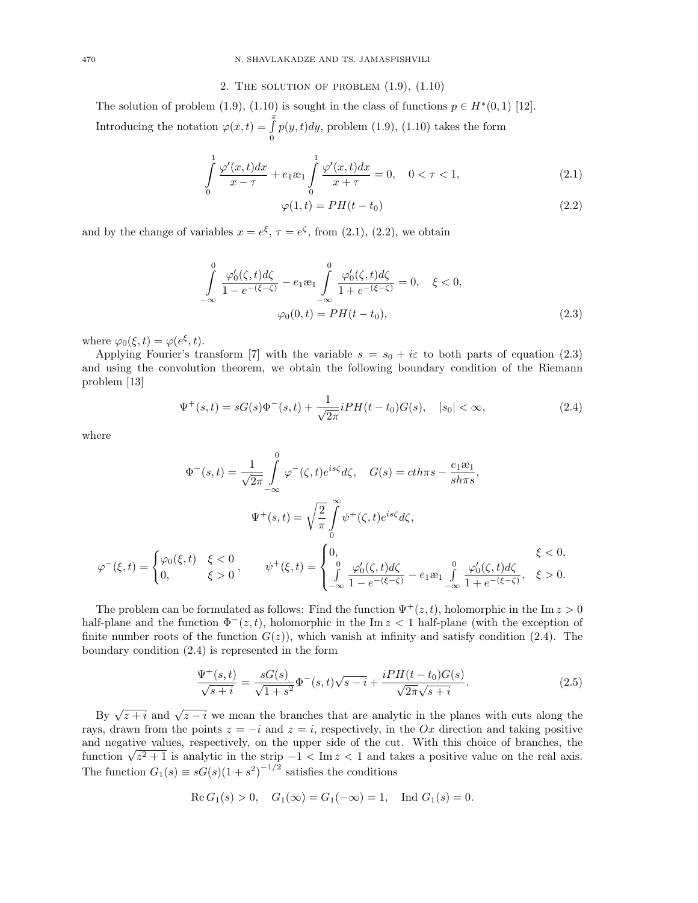# 2. THE SOLUTION OF PROBLEM  $(1.9)$ ,  $(1.10)$

The solution of problem (1.9), (1.10) is sought in the class of functions  $p \in H^*(0,1)$  [12]. Introducing the notation  $\varphi(x, t) = \int_{0}^{x}$ 0  $p(y, t)dy$ , problem  $(1.9)$ ,  $(1.10)$  takes the form

$$
\int_{0}^{1} \frac{\varphi'(x,t)dx}{x-\tau} + e_1 \omega_1 \int_{0}^{1} \frac{\varphi'(x,t)dx}{x+\tau} = 0, \quad 0 < \tau < 1,
$$
\n(2.1)

$$
\varphi(1,t) = PH(t - t_0) \tag{2.2}
$$

and by the change of variables  $x = e^{\xi}, \tau = e^{\zeta}$ , from (2.1), (2.2), we obtain

$$
\int_{-\infty}^{0} \frac{\varphi'_0(\zeta, t) d\zeta}{1 - e^{-(\xi - \zeta)}} - e_1 \mathfrak{E}_1 \int_{-\infty}^{0} \frac{\varphi'_0(\zeta, t) d\zeta}{1 + e^{-(\xi - \zeta)}} = 0, \quad \xi < 0,
$$
  

$$
\varphi_0(0, t) = PH(t - t_0),
$$
 (2.3)

where  $\varphi_0(\xi, t) = \varphi(e^{\xi}, t)$ .

Applying Fourier's transform [7] with the variable  $s = s_0 + i\varepsilon$  to both parts of equation (2.3) and using the convolution theorem, we obtain the following boundary condition of the Riemann problem [13]

$$
\Psi^+(s,t) = sG(s)\Phi^-(s,t) + \frac{1}{\sqrt{2\pi}}iPH(t-t_0)G(s), \quad |s_0| < \infty,\tag{2.4}
$$

where

$$
\Phi^{-}(s,t) = \frac{1}{\sqrt{2\pi}} \int_{-\infty}^{0} \varphi^{-}(\zeta,t) e^{is\zeta} d\zeta, \quad G(s) = c\hbar \pi s - \frac{e_1 \mathfrak{B}_1}{s\hbar \pi s},
$$

$$
\Psi^{+}(s,t) = \sqrt{\frac{2}{\pi}} \int_{0}^{\infty} \psi^{+}(\zeta,t) e^{is\zeta} d\zeta,
$$

$$
\varphi^{-}(\xi,t) = \begin{cases} \varphi_0(\xi,t) & \xi < 0 \\ 0, & \xi > 0 \end{cases}, \qquad \psi^{+}(\xi,t) = \begin{cases} 0, & \xi < 0, \\ \int_{-\infty}^{0} \frac{\varphi_0'(\zeta,t) d\zeta}{1 - e^{-(\xi - \zeta)}} - e_1 \mathfrak{B}_1 \int_{-\infty}^{0} \frac{\varphi_0'(\zeta,t) d\zeta}{1 + e^{-(\xi - \zeta)}}, & \xi > 0. \end{cases}
$$

The problem can be formulated as follows: Find the function  $\Psi^+(z,t)$ , holomorphic in the Im  $z > 0$ half-plane and the function  $\Phi^-(z,t)$ , holomorphic in the Im  $z < 1$  half-plane (with the exception of finite number roots of the function  $G(z)$ , which vanish at infinity and satisfy condition (2.4). The boundary condition (2.4) is represented in the form

$$
\frac{\Psi^+(s,t)}{\sqrt{s+i}} = \frac{sG(s)}{\sqrt{1+s^2}} \Phi^-(s,t) \sqrt{s-i} + \frac{iPH(t-t_0)G(s)}{\sqrt{2\pi}\sqrt{s+i}}.
$$
\n(2.5)

By  $\sqrt{z+i}$  and  $\sqrt{z-i}$  we mean the branches that are analytic in the planes with cuts along the rays, drawn from the points  $z = -i$  and  $z = i$ , respectively, in the Ox direction and taking positive and negative values, respectively, on the upper side of the cut. With this choice of branches, the and negative values, respectively, on the upper side of the cut. With this choice of branches, the function  $\sqrt{z^2+1}$  is analytic in the strip  $-1 < \text{Im } z < 1$  and takes a positive value on the real axis. The function  $G_1(s) \equiv sG(s)(1+s^2)^{-1/2}$  satisfies the conditions

Re 
$$
G_1(s) > 0
$$
,  $G_1(\infty) = G_1(-\infty) = 1$ , Ind  $G_1(s) = 0$ .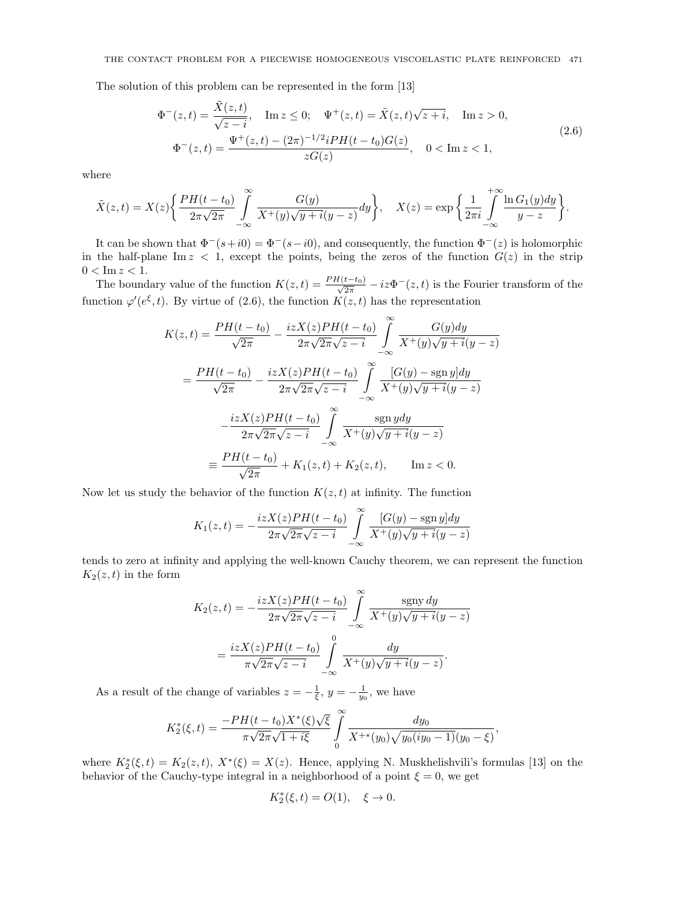The solution of this problem can be represented in the form [13]

$$
\Phi^{-}(z,t) = \frac{\tilde{X}(z,t)}{\sqrt{z-i}}, \quad \text{Im } z \le 0; \quad \Psi^{+}(z,t) = \tilde{X}(z,t)\sqrt{z+i}, \quad \text{Im } z > 0,
$$
\n
$$
\Phi^{-}(z,t) = \frac{\Psi^{+}(z,t) - (2\pi)^{-1/2}iPH(t-t_0)G(z)}{zG(z)}, \quad 0 < \text{Im } z < 1,
$$
\n(2.6)

where

$$
\tilde{X}(z,t) = X(z) \left\{ \frac{PH(t-t_0)}{2\pi\sqrt{2\pi}} \int\limits_{-\infty}^{\infty} \frac{G(y)}{X^+(y)\sqrt{y+i}(y-z)} dy \right\}, \quad X(z) = \exp\bigg\{ \frac{1}{2\pi i} \int\limits_{-\infty}^{+\infty} \frac{\ln G_1(y) dy}{y-z} \bigg\}.
$$

It can be shown that  $\Phi^-(s+i0) = \Phi^-(s-i0)$ , and consequently, the function  $\Phi^-(z)$  is holomorphic in the half-plane Im  $z < 1$ , except the points, being the zeros of the function  $G(z)$  in the strip  $0 < \text{Im } z < 1.$ 

The boundary value of the function  $K(z,t) = \frac{PH(t-t_0)}{\sqrt{2\pi}} - iz\Phi^{-}(z,t)$  is the Fourier transform of the function  $\varphi'(e^{\xi}, t)$ . By virtue of (2.6), the function  $K(z, t)$  has the representation

$$
K(z,t) = \frac{PH(t-t_0)}{\sqrt{2\pi}} - \frac{izX(z)PH(t-t_0)}{2\pi\sqrt{2\pi}\sqrt{z-i}} \int_{-\infty}^{\infty} \frac{G(y)dy}{X^+(y)\sqrt{y+i}(y-z)}
$$
  
= 
$$
\frac{PH(t-t_0)}{\sqrt{2\pi}} - \frac{izX(z)PH(t-t_0)}{2\pi\sqrt{2\pi}\sqrt{z-i}} \int_{-\infty}^{\infty} \frac{[G(y) - \text{sgn } y]dy}{X^+(y)\sqrt{y+i}(y-z)}
$$
  

$$
-\frac{izX(z)PH(t-t_0)}{2\pi\sqrt{2\pi}\sqrt{z-i}} \int_{-\infty}^{\infty} \frac{\text{sgn } ydy}{X^+(y)\sqrt{y+i}(y-z)}
$$
  

$$
\equiv \frac{PH(t-t_0)}{\sqrt{2\pi}} + K_1(z,t) + K_2(z,t), \quad \text{Im } z < 0.
$$

Now let us study the behavior of the function  $K(z, t)$  at infinity. The function

$$
K_1(z,t)=-\frac{izX(z)PH(t-t_0)}{2\pi\sqrt{2\pi}\sqrt{z-i}}\int\limits_{-\infty}^{\infty}\frac{[G(y)-\operatorname{sgn} y]dy}{X^+(y)\sqrt{y+i}(y-z)}
$$

tends to zero at infinity and applying the well-known Cauchy theorem, we can represent the function  $K_2(z,t)$  in the form

$$
K_2(z,t) = -\frac{izX(z)PH(t-t_0)}{2\pi\sqrt{2\pi}\sqrt{z-i}} \int_{-\infty}^{\infty} \frac{\text{sgny } dy}{X^+(y)\sqrt{y+i}(y-z)}
$$

$$
= \frac{izX(z)PH(t-t_0)}{\pi\sqrt{2\pi}\sqrt{z-i}} \int_{-\infty}^0 \frac{dy}{X^+(y)\sqrt{y+i}(y-z)}.
$$

As a result of the change of variables  $z = -\frac{1}{\xi}$ ,  $y = -\frac{1}{y_0}$ , we have

$$
K_2^*(\xi,t) = \frac{-PH(t-t_0)X^*(\xi)\sqrt{\xi}}{\pi\sqrt{2\pi}\sqrt{1+i\xi}} \int\limits_0^\infty \frac{dy_0}{X^{+*}(y_0)\sqrt{y_0(iy_0-1)}(y_0-\xi)},
$$

where  $K_2^*(\xi, t) = K_2(z, t)$ ,  $X^*(\xi) = X(z)$ . Hence, applying N. Muskhelishvili's formulas [13] on the behavior of the Cauchy-type integral in a neighborhood of a point  $\xi = 0$ , we get

$$
K_2^*(\xi,t)=O(1),\quad \xi\to 0.
$$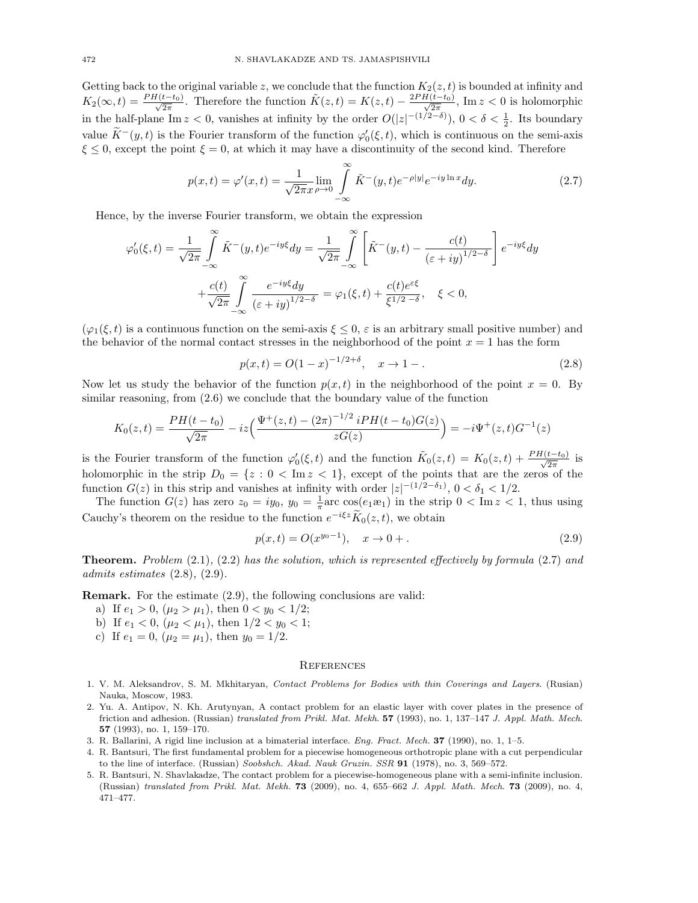Getting back to the original variable z, we conclude that the function  $K_2(z, t)$  is bounded at infinity and  $K_2(\infty, t) = \frac{PH(t-t_0)}{\sqrt{2\pi}}$ . Therefore the function  $\tilde{K}(z, t) = K(z, t) - \frac{2PH(t-t_0)}{\sqrt{2\pi}}$ , Im  $z < 0$  is holomorphic in the half-plane Im  $z < 0$ , vanishes at infinity by the order  $O(|z|^{-(1/2-\delta)})$ ,  $0 < \delta < \frac{1}{2}$ . Its boundary value  $\widetilde{K}^-(y,t)$  is the Fourier transform of the function  $\varphi'_0(\xi,t)$ , which is continuous on the semi-axis  $\xi \leq 0$ , except the point  $\xi = 0$ , at which it may have a discontinuity of the second kind. Therefore

$$
p(x,t) = \varphi'(x,t) = \frac{1}{\sqrt{2\pi}x} \lim_{\rho \to 0} \int_{-\infty}^{\infty} \tilde{K}^-(y,t)e^{-\rho|y|}e^{-iy\ln x}dy.
$$
 (2.7)

Hence, by the inverse Fourier transform, we obtain the expression

$$
\varphi_0'(\xi, t) = \frac{1}{\sqrt{2\pi}} \int_{-\infty}^{\infty} \tilde{K}^-(y, t) e^{-iy\xi} dy = \frac{1}{\sqrt{2\pi}} \int_{-\infty}^{\infty} \left[ \tilde{K}^-(y, t) - \frac{c(t)}{(\varepsilon + iy)^{1/2 - \delta}} \right] e^{-iy\xi} dy
$$

$$
+ \frac{c(t)}{\sqrt{2\pi}} \int_{-\infty}^{\infty} \frac{e^{-iy\xi} dy}{(\varepsilon + iy)^{1/2 - \delta}} = \varphi_1(\xi, t) + \frac{c(t)e^{\varepsilon\xi}}{\xi^{1/2 - \delta}}, \quad \xi < 0,
$$

 $(\varphi_1(\xi, t))$  is a continuous function on the semi-axis  $\xi \leq 0$ ,  $\varepsilon$  is an arbitrary small positive number) and the behavior of the normal contact stresses in the neighborhood of the point  $x = 1$  has the form

$$
p(x,t) = O(1-x)^{-1/2+\delta}, \quad x \to 1 -.
$$
 (2.8)

Now let us study the behavior of the function  $p(x, t)$  in the neighborhood of the point  $x = 0$ . By similar reasoning, from (2.6) we conclude that the boundary value of the function

$$
K_0(z,t) = \frac{PH(t-t_0)}{\sqrt{2\pi}} - iz\Big(\frac{\Psi^+(z,t) - (2\pi)^{-1/2} iPH(t-t_0)G(z)}{zG(z)}\Big) = -i\Psi^+(z,t)G^{-1}(z)
$$

is the Fourier transform of the function  $\varphi'_0(\xi, t)$  and the function  $\tilde{K}_0(z,t) = K_0(z,t) + \frac{PH(t-t_0)}{\sqrt{2\pi}}$  is holomorphic in the strip  $D_0 = \{z : 0 < \text{Im } z < 1\}$ , except of the points that are the zeros of the function  $G(z)$  in this strip and vanishes at infinity with order  $|z|^{-(1/2-\delta_1)}$ ,  $0 < \delta_1 < 1/2$ .

The function  $G(z)$  has zero  $z_0 = iy_0$ ,  $y_0 = \frac{1}{\pi}$  arc  $\cos(e_1 x_1)$  in the strip  $0 < \text{Im } z < 1$ , thus using Cauchy's theorem on the residue to the function  $e^{-i\xi z}\widetilde{K}_0(z,t)$ , we obtain

$$
p(x,t) = O(x^{y_0 - 1}), \quad x \to 0 +.
$$
\n(2.9)

**Theorem.** Problem  $(2.1)$ ,  $(2.2)$  has the solution, which is represented effectively by formula  $(2.7)$  and admits estimates (2.8), (2.9).

Remark. For the estimate (2.9), the following conclusions are valid:

- a) If  $e_1 > 0$ ,  $(\mu_2 > \mu_1)$ , then  $0 < y_0 < 1/2$ ;
- b) If  $e_1 < 0$ ,  $(\mu_2 < \mu_1)$ , then  $1/2 < y_0 < 1$ ;
- c) If  $e_1 = 0$ ,  $(\mu_2 = \mu_1)$ , then  $y_0 = 1/2$ .

### **REFERENCES**

- 1. V. M. Aleksandrov, S. M. Mkhitaryan, Contact Problems for Bodies with thin Coverings and Layers. (Rusian) Nauka, Moscow, 1983.
- 2. Yu. A. Antipov, N. Kh. Arutynyan, A contact problem for an elastic layer with cover plates in the presence of friction and adhesion. (Russian) translated from Prikl. Mat. Mekh. 57 (1993), no. 1, 137–147 J. Appl. Math. Mech. 57 (1993), no. 1, 159–170.
- 3. R. Ballarini, A rigid line inclusion at a bimaterial interface. Eng. Fract. Mech. 37 (1990), no. 1, 1–5.
- 4. R. Bantsuri, The first fundamental problem for a piecewise homogeneous orthotropic plane with a cut perpendicular to the line of interface. (Russian) Soobshch. Akad. Nauk Gruzin. SSR 91 (1978), no. 3, 569–572.
- 5. R. Bantsuri, N. Shavlakadze, The contact problem for a piecewise-homogeneous plane with a semi-infinite inclusion. (Russian) translated from Prikl. Mat. Mekh. 73 (2009), no. 4, 655–662 J. Appl. Math. Mech. 73 (2009), no. 4, 471–477.